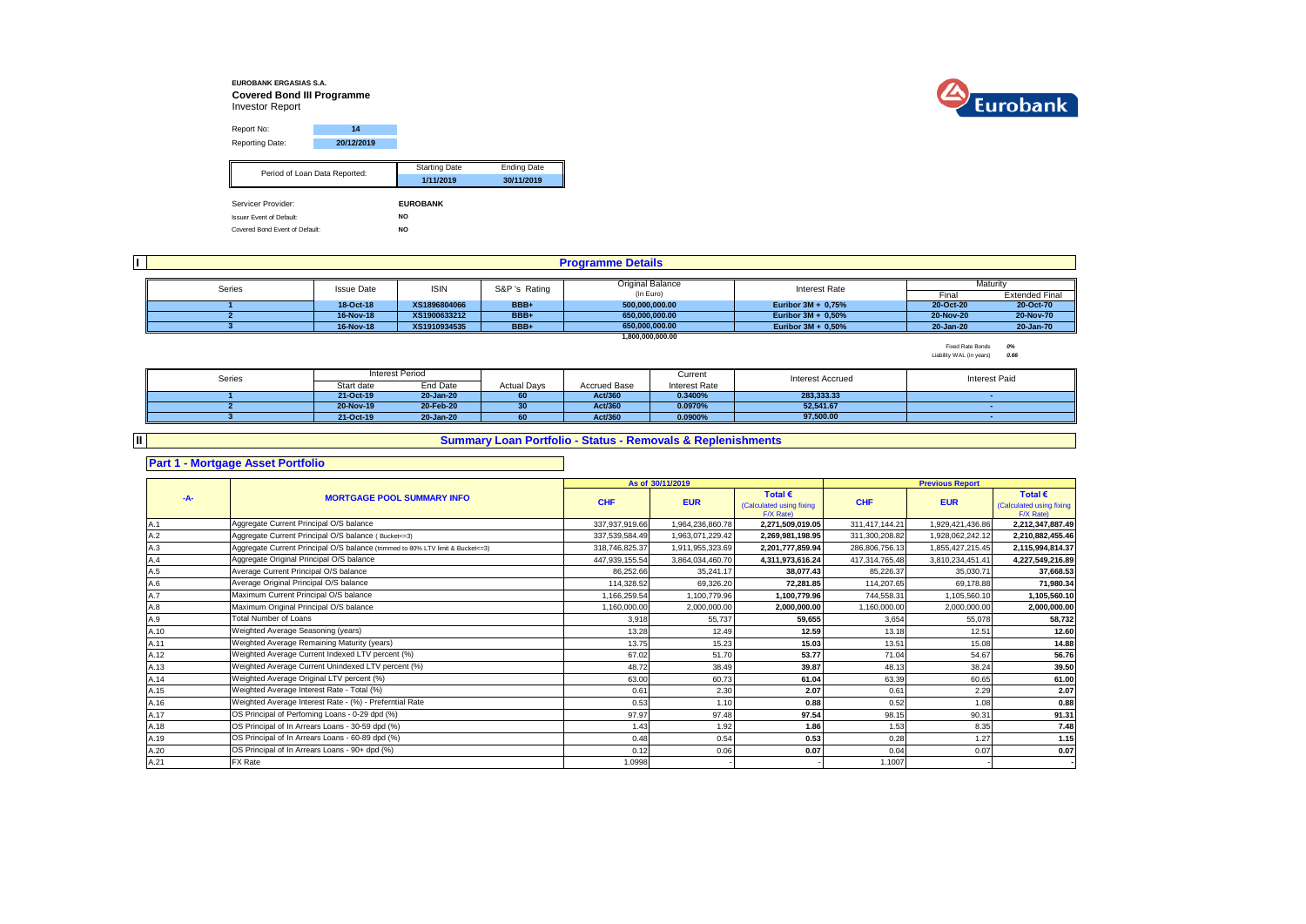### **EUROBANK ERGASIAS S.A. Covered Bond III Programme** Investor Report



Report No: **14** Reporting Date: **20/12/2019** Starting Date Ending Date **1/11/2019 30/11/2019** Servicer Provider: **EUROBANK** Issuer Event of Default: **NO** Period of Loan Data Reported:

Covered Bond Event of Default: **NO**

|                                            |  |               |                  |                      | <b>Programme Details</b> |                       |           |                       |
|--------------------------------------------|--|---------------|------------------|----------------------|--------------------------|-----------------------|-----------|-----------------------|
|                                            |  |               |                  |                      |                          |                       |           |                       |
| Series<br><b>ISIN</b><br><b>Issue Date</b> |  | S&P 's Rating | Original Balance | <b>Interest Rate</b> |                          | Maturity              |           |                       |
|                                            |  |               |                  |                      | (in Euro)                |                       | Final     | <b>Extended Final</b> |
|                                            |  | 18-Oct-18     | XS1896804066     | BBB+                 | 500.000.000.00           | Euribor $3M + 0.75%$  | 20-Oct-20 | 20-Oct-70             |
|                                            |  | 16-Nov-18     | XS1900633212     | BBB+                 | 650.000.000.00           | Euribor $3M + 0.50\%$ | 20-Nov-20 | 20-Nov-70             |
|                                            |  | 16-Nov-18     | XS1910934535     | BBB+                 | 650.000.000.00           | Euribor $3M + 0.50\%$ | 20-Jan-20 | 20-Jan-70             |
|                                            |  |               |                  |                      | 1,800,000,000,00         |                       |           |                       |

Fixed Rate Bonds *0%* Liability WAL (in years) *0.66*

| Series | Interest Period |           |                    |                     | Current       | <b>Interest Accrued</b> | <b>Interest Paid</b> |
|--------|-----------------|-----------|--------------------|---------------------|---------------|-------------------------|----------------------|
|        | Start date      | End Date  | <b>Actual Days</b> | <b>Accrued Base</b> | Interest Rate |                         |                      |
|        | 21-Oct-19       | 20-Jan-20 | 60                 | Act/360             | 0.3400%       | 283.333.33              |                      |
|        | 20-Nov-19       | 20-Feb-20 | 30                 | Act/360             | 0.0970%       | 52.541.67               |                      |
|        | 21-Oct-19       | 20-Jan-20 | 60                 | Act/360             | 0.0900%       | 97.500.00               |                      |

## **Summary Loan Portfolio - Status - Removals & Replenishments**

## **Part 1 - Mortgage Asset Portfolio**

**II**

#### **As of** Total € **Total EXECUS Fotal EXECUS Fotal EXECUS Fotal EXECUS Fotal EXECUS** (Calculated using fixing **CHF EUR CHF EUR**  $F/X$  Rate)<br>2.271.509.019.05 Calculated using fixing  $\frac{F/X \text{ Rate}}{2.212.347.887.49}$ A.1 337,937,919.66 1,964,236,860.78 **2,271,509,019.05** 311,417,144.21 1,929,421,436.86 **2,212,347,887.49** Aggregate Current Principal O/S balance A.2 337,539,584.49 1,963,071,229.42 **2,269,981,198.95** 311,300,208.82 1,928,062,242.12 **2,210,882,455.46** Aggregate Current Principal O/S balance ( Bucket<=3) A.3 **201,777,859.94 286,806,756.13** 1,855,427,215.45 **2,115,994,814.37** 1,955,425.57 **2,201,777,859.94 2,201,777,859.94** 286,806,756.13 1,855,427,215.45 **2,115,994,814.37** A.4 447,939,155.54 3,864,034,460.70 **4,311,973,616.24** 417,314,765.48 3,810,234,451.41 **4,227,549,216.89** Aggregate Original Principal O/S balance A.5 86,252.66 35,241.17 **38,077.43** 85,226.37 35,030.71 **37,668.53** A.6 114,328.52 69,326.20 **72,281.85** 114,207.65 69,178.88 **71,980.34** Average Original Principal O/S balance A.7 1,166,259.54 1,100,779.96 **1,100,779.96** 744,558.31 1,105,560.10 **1,105,560.10** Maximum Current Principal O/S balance A.8 1,160,000.00 2,000,000.00 **2,000,000.00** 1,160,000.00 2,000,000.00 **2,000,000.00** Maximum Original Principal O/S balance A.9 3,918 55,737 **59,655** 3,654 55,078 **58,732** A.10 13.28 12.49 **12.59** 13.18 12.51 **12.60** Weighted Average Seasoning (years) A.11 13.75 15.23 **15.03** 13.51 15.08 **14.88** Weighted Average Remaining Maturity (years) A.12 67.02 51.70 **53.77** 71.04 54.67 **56.76** Weighted Average Current Indexed LTV percent (%) A.13 48.72 38.49 **39.87** 48.13 38.24 **39.50** Weighted Average Current Unindexed LTV percent (%) A.14 63.00 60.73 **61.04** 63.39 60.65 **61.00** Weighted Average Original LTV percent (%) A.15 0.61 2.30 **2.07** 0.61 2.29 **2.07** Weighted Average Interest Rate - Total (%) A.16 0.53 1.10 **0.88** 0.52 1.08 **0.88** Weighted Average Interest Rate - (%) - Preferntial Rate A.17 97.97 97.48 **97.54** 98.15 90.31 **91.31** OS Principal of Perfoming Loans - 0-29 dpd (%) A.18 1.43 1.92 **1.86** 1.53 8.35 **7.48** OS Principal of In Arrears Loans - 30-59 dpd (%)A.19 0.48 0.54 **0.53** 0.28 1.27 **1.15** OS Principal of In Arrears Loans - 60-89 dpd (%) A.20 0.12 0.06 **0.07** 0.04 0.07 **0.07** OS Principal of In Arrears Loans - 90+ dpd (%) A.21 1.0998 - - 1.1007 - **- -A- MORTGAGE POOL SUMMARY INFO Previous Report** Total Number of Loans **Average Current Principal O/S balance** FX Rate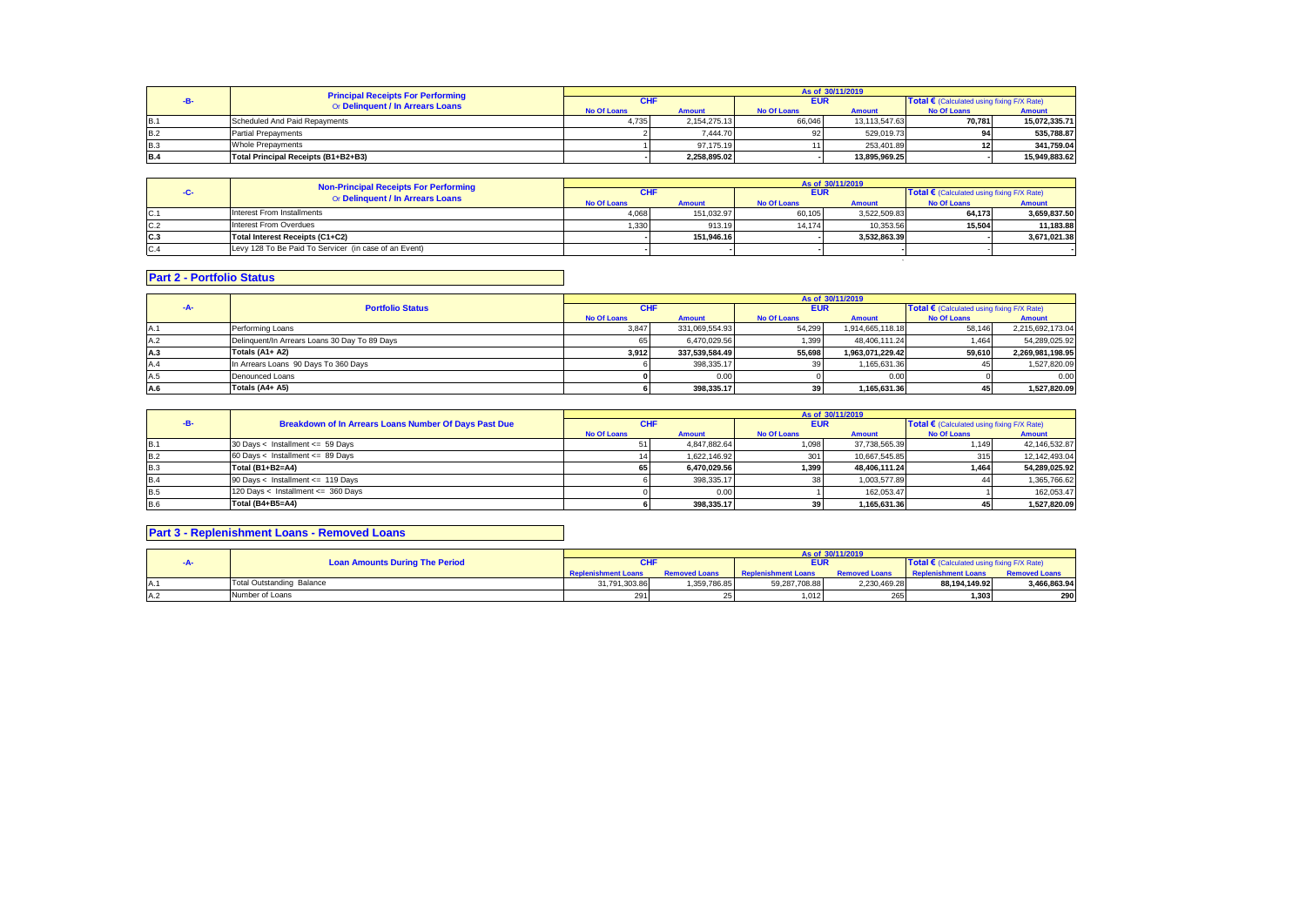|            | <b>Principal Receipts For Performing</b> |                    |               |                    | As of 30/11/2019 |                                            |               |
|------------|------------------------------------------|--------------------|---------------|--------------------|------------------|--------------------------------------------|---------------|
|            |                                          | CHI                |               | <b>EUR</b>         |                  | Total € (Calculated using fixing F/X Rate) |               |
|            | Or Delinquent / In Arrears Loans         | <b>No Of Loans</b> | <b>Amount</b> | <b>No Of Loans</b> | <b>Amount</b>    | <b>No Of Loans</b>                         | <b>Amount</b> |
| <b>B.1</b> | Scheduled And Paid Repayments            | 4.735              | 2.154.275.13  | 66,046             | 13.113.547.63    | 70.781                                     | 15.072.335.71 |
| <b>B.2</b> | <b>Partial Prepayments</b>               |                    | 7.444.70      | 92.                | 529.019.73       |                                            | 535.788.87    |
| <b>B.3</b> | <b>Whole Prepayments</b>                 |                    | 97.175.19     |                    | 253.401.89       |                                            | 341.759.04    |
| <b>B.4</b> | Total Principal Receipts (B1+B2+B3)      |                    | 2.258.895.02  |                    | 13.895.969.25    |                                            | 15.949.883.62 |

|     | <b>Non-Principal Receipts For Performing</b>          |                    |               |                    | As of 30/11/2019 |                                              |               |
|-----|-------------------------------------------------------|--------------------|---------------|--------------------|------------------|----------------------------------------------|---------------|
| - 1 | Or Delinquent / In Arrears Loans                      | <b>CHI</b>         |               | <b>EUR</b>         |                  | Total € (Calculated using fixing $F/X$ Rate) |               |
|     |                                                       | <b>No Of Loans</b> | <b>Amount</b> | <b>No Of Loans</b> | <b>Amount</b>    | <b>No Of Loans</b>                           | <b>Amount</b> |
| C.1 | Interest From Installments                            | 4,068              | 151.032.97    | 60,105             | 3.522.509.83     | 64.173                                       | 3.659.837.50  |
| C.2 | Interest From Overdues                                | 1,330              | 913.19        | 14.174             | 10.353.56        | 15.504                                       | 11.183.88     |
| C.3 | Total Interest Receipts (C1+C2)                       |                    | 151.946.16    |                    | 3.532.863.39     |                                              | 3.671.021.38  |
| C.4 | Levy 128 To Be Paid To Servicer (in case of an Event) |                    |               |                    |                  |                                              |               |
|     |                                                       |                    |               |                    |                  |                                              |               |

# **Part 2 - Portfolio Status**

|     |                                               |                    | As of 30/11/2019 |                    |                  |                    |                                                     |
|-----|-----------------------------------------------|--------------------|------------------|--------------------|------------------|--------------------|-----------------------------------------------------|
| -A- | <b>Portfolio Status</b>                       |                    | <b>CHF</b>       |                    | <b>EUR</b>       |                    | Total $\epsilon$ (Calculated using fixing F/X Rate) |
|     |                                               | <b>No Of Loans</b> | <b>Amount</b>    | <b>No Of Loans</b> | <b>Amount</b>    | <b>No Of Loans</b> | <b>Amount</b>                                       |
|     | Performing Loans                              | 3,847              | 331.069.554.93   | 54,299             | 1,914,665,118.18 | 58.146             | 2,215,692,173.04                                    |
| А.2 | Delinquent/In Arrears Loans 30 Day To 89 Days |                    | 6.470.029.56     | 1,399              | 48.406.111.24    | 1.464              | 54.289.025.92                                       |
| A.3 | Totals (A1+ A2)                               | 3,912              | 337.539.584.49   | 55,698             | 1.963.071.229.42 | 59,610             | 2.269.981.198.95                                    |
|     | In Arrears Loans 90 Days To 360 Days          |                    | 398,335.17       |                    | 1,165,631.36     |                    | 1,527,820.09                                        |
|     | Denounced Loans                               |                    | 0.00             |                    | 0.00             |                    | 0.00                                                |
| A.6 | Totals (A4+ A5)                               |                    | 398.335.17       | 39                 | 1,165,631.36     | 45                 | 1,527,820.09                                        |

|            |                                                       |             |               |                    | As of 30/11/2019 |                                                     |               |
|------------|-------------------------------------------------------|-------------|---------------|--------------------|------------------|-----------------------------------------------------|---------------|
|            | Breakdown of In Arrears Loans Number Of Days Past Due | <b>CHF</b>  |               | <b>EUR</b>         |                  | Total $\epsilon$ (Calculated using fixing F/X Rate) |               |
|            |                                                       | No Of Loans | <b>Amount</b> | <b>No Of Loans</b> | <b>Amount</b>    | No Of Loans                                         | <b>Amount</b> |
| <b>B.1</b> | 30 Days < Installment <= 59 Days                      |             | 4,847,882.64  | 1,098              | 37,738,565.39    | 1.149                                               | 42,146,532.87 |
| <b>B.2</b> | 60 Days < Installment <= 89 Days                      |             | 1.622.146.92  | 301                | 10.667.545.85    | 315                                                 | 12.142.493.04 |
| <b>B.3</b> | Total (B1+B2=A4)                                      | 651         | 6.470.029.56  | 1.399              | 48.406.111.24    | 1.464                                               | 54.289.025.92 |
| <b>B.4</b> | 90 Days < Installment <= 119 Days                     |             | 398.335.17    |                    | 1.003.577.89     |                                                     | 1,365,766.62  |
| <b>B.5</b> | 120 Days < Installment <= 360 Days                    |             | 0.00          |                    | 162.053.47       |                                                     | 162.053.47    |
| <b>B.6</b> | Total (B4+B5=A4)                                      |             | 398.335.17    |                    | 1.165.631.36     |                                                     | 1,527,820.09  |

# **Part 3 - Replenishment Loans - Removed Loans**

|     |                                       |               |                      |                            | As of 30/11/2019     |                                                     |                      |
|-----|---------------------------------------|---------------|----------------------|----------------------------|----------------------|-----------------------------------------------------|----------------------|
|     | <b>Loan Amounts During The Period</b> | <b>CHF</b>    |                      | EUR                        |                      | Total $\epsilon$ (Calculated using fixing F/X Rate) |                      |
|     |                                       |               | <b>Removed Loans</b> | <b>Replenishment Loans</b> | <b>Removed Loans</b> | <b>Replenishment Loans</b>                          | <b>Removed Loans</b> |
| IA. | <b>Total Outstanding Balance</b>      | 31,791,303.86 | 1,359,786.85         | 59,287,708.88              | 2,230,469.28         | 88,194,149.92                                       | 3,466,863.94         |
| IA∴ | Number of Loans                       | 291           |                      | 1.012                      |                      | 1.303                                               | 290                  |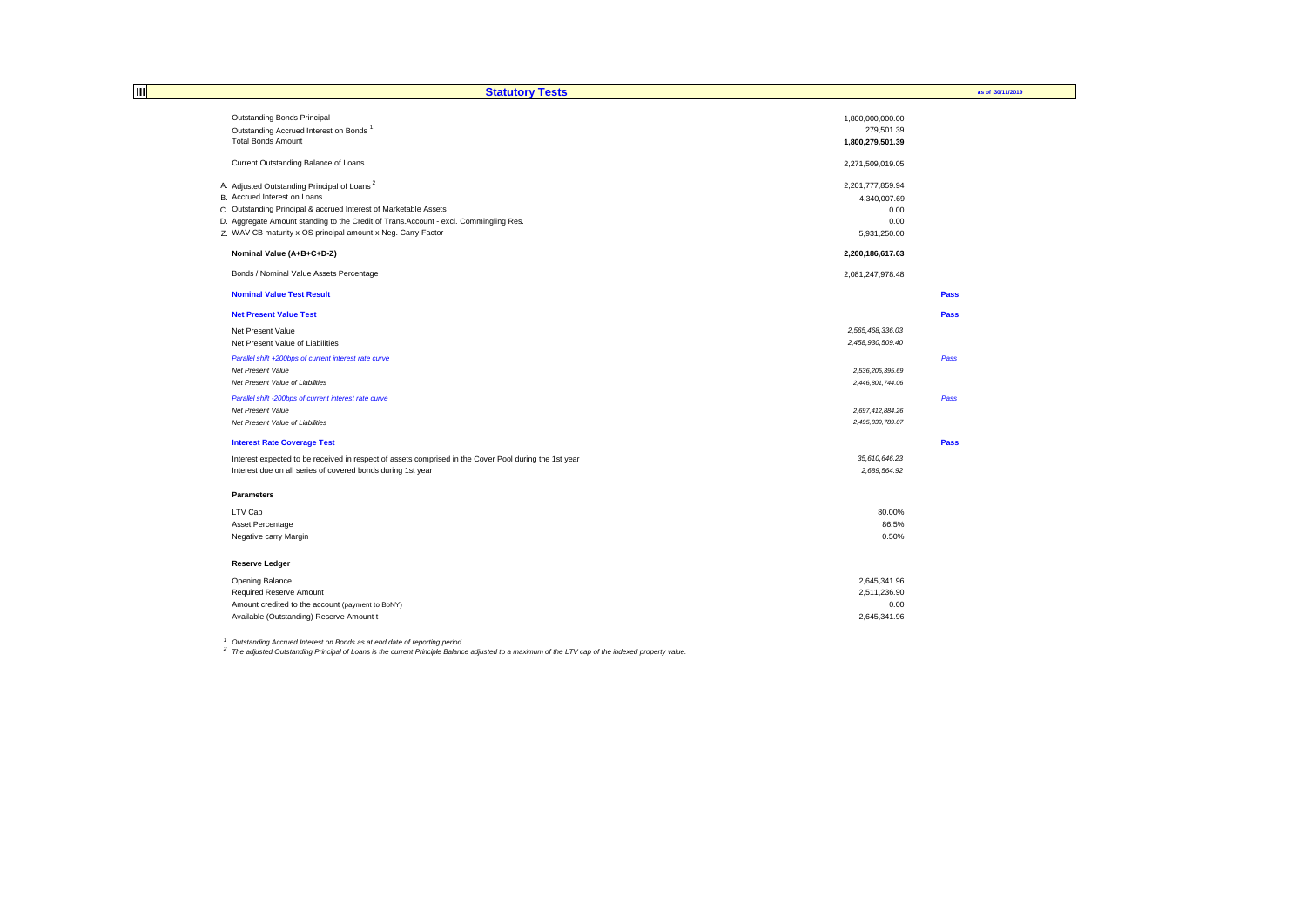| Ш | <b>Statutory Tests</b>                                                                                |                  | as of 30/11/2019 |
|---|-------------------------------------------------------------------------------------------------------|------------------|------------------|
|   | Outstanding Bonds Principal                                                                           | 1,800,000,000.00 |                  |
|   | Outstanding Accrued Interest on Bonds <sup>1</sup>                                                    | 279,501.39       |                  |
|   | <b>Total Bonds Amount</b>                                                                             | 1,800,279,501.39 |                  |
|   |                                                                                                       |                  |                  |
|   | Current Outstanding Balance of Loans                                                                  | 2,271,509,019.05 |                  |
|   | A. Adjusted Outstanding Principal of Loans <sup>2</sup>                                               | 2,201,777,859.94 |                  |
|   | B. Accrued Interest on Loans                                                                          | 4,340,007.69     |                  |
|   | C. Outstanding Principal & accrued Interest of Marketable Assets                                      | 0.00             |                  |
|   | D. Aggregate Amount standing to the Credit of Trans.Account - excl. Commingling Res.                  | 0.00             |                  |
|   | Z. WAV CB maturity x OS principal amount x Neg. Carry Factor                                          | 5,931,250.00     |                  |
|   | Nominal Value (A+B+C+D-Z)                                                                             | 2,200,186,617.63 |                  |
|   | Bonds / Nominal Value Assets Percentage                                                               | 2,081,247,978.48 |                  |
|   | <b>Nominal Value Test Result</b>                                                                      |                  | Pass             |
|   | <b>Net Present Value Test</b>                                                                         |                  | <b>Pass</b>      |
|   | Net Present Value                                                                                     | 2,565,468,336.03 |                  |
|   | Net Present Value of Liabilities                                                                      | 2,458,930,509.40 |                  |
|   | Parallel shift +200bps of current interest rate curve                                                 |                  | Pass             |
|   | Net Present Value                                                                                     | 2,536,205,395.69 |                  |
|   | Net Present Value of Liabilities                                                                      | 2,446,801,744.06 |                  |
|   | Parallel shift -200bps of current interest rate curve                                                 |                  | Pass             |
|   | Net Present Value                                                                                     | 2,697,412,884.26 |                  |
|   | Net Present Value of Liabilities                                                                      | 2,495,839,789.07 |                  |
|   | <b>Interest Rate Coverage Test</b>                                                                    |                  | Pass             |
|   | Interest expected to be received in respect of assets comprised in the Cover Pool during the 1st year | 35,610,646.23    |                  |
|   | Interest due on all series of covered bonds during 1st year                                           | 2,689,564.92     |                  |
|   | <b>Parameters</b>                                                                                     |                  |                  |
|   | LTV Cap                                                                                               | 80.00%           |                  |
|   | Asset Percentage                                                                                      | 86.5%            |                  |
|   | Negative carry Margin                                                                                 | 0.50%            |                  |
|   | <b>Reserve Ledger</b>                                                                                 |                  |                  |
|   | Opening Balance                                                                                       | 2,645,341.96     |                  |
|   | Required Reserve Amount                                                                               | 2,511,236.90     |                  |
|   | Amount credited to the account (payment to BoNY)                                                      | 0.00             |                  |
|   | Available (Outstanding) Reserve Amount t                                                              | 2,645,341.96     |                  |

<sup>1</sup> Outstanding Accrued Interest on Bonds as at end date of reporting period<br><sup>2</sup> The adjusted Outstanding Principal of Loans is the current Principle Balance adjusted to a maximum of the LTV cap of the indexed property val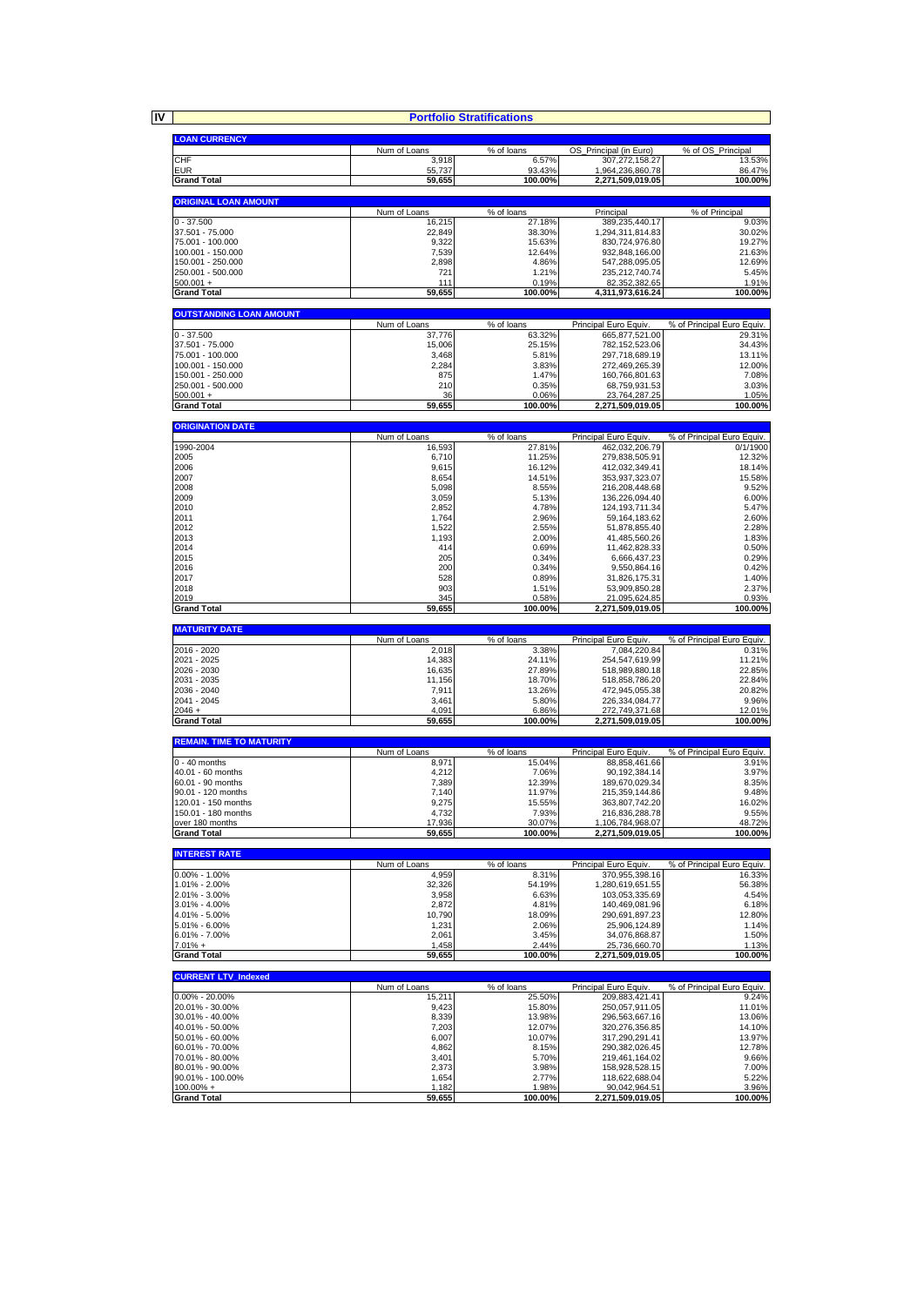**IV**

|                                            |                        | <b>Portfolio Stratifications</b> |                                        |                                     |
|--------------------------------------------|------------------------|----------------------------------|----------------------------------------|-------------------------------------|
|                                            |                        |                                  |                                        |                                     |
| <b>LOAN CURRENCY</b>                       |                        |                                  |                                        |                                     |
|                                            | Num of Loans           | % of loans                       | OS_Principal (in Euro)                 | % of OS_Principal                   |
| CHF<br><b>EUR</b>                          | 3,918<br>55,737        | 6.57%<br>93.43%                  | 307,272,158.27<br>1,964,236,860.78     | 13.53%<br>86.47%                    |
| <b>Grand Total</b>                         | 59,655                 | 100.00%                          | 2,271,509,019.05                       | 100.00%                             |
|                                            |                        |                                  |                                        |                                     |
| <b>ORIGINAL LOAN AMOUNT</b>                |                        |                                  |                                        |                                     |
| $0 - 37.500$                               | Num of Loans<br>16,215 | % of loans<br>27.18%             | Principal<br>389,235,440.17            | % of Principal<br>9.03%             |
| 37.501 - 75.000                            | 22,849                 | 38.30%                           | 1,294,311,814.83                       | 30.02%                              |
| 75.001 - 100.000                           | 9,322                  | 15.63%                           | 830,724,976.80                         | 19.27%                              |
| 100.001 - 150.000                          | 7,539                  | 12.64%                           | 932,848,166.00                         | 21.63%                              |
| 150.001 - 250.000<br>250.001 - 500.000     | 2,898                  | 4.86%                            | 547,288,095.05                         | 12.69%                              |
| $500.001 +$                                | 721<br>111             | 1.21%<br>0.19%                   | 235,212,740.74<br>82,352,382.65        | 5.45%<br>1.91%                      |
| <b>Grand Total</b>                         | 59,655                 | 100.00%                          | 4,311,973,616.24                       | 100.00%                             |
|                                            |                        |                                  |                                        |                                     |
| <b>OUTSTANDING LOAN AMOUNT</b>             | Num of Loans           | % of loans                       | Principal Euro Equiv.                  | % of Principal Euro Equiv.          |
| $0 - 37.500$                               | 37,776                 | 63.32%                           | 665,877,521.00                         | 29.31%                              |
| 37.501 - 75.000                            | 15,006                 | 25.15%                           | 782, 152, 523.06                       | 34.43%                              |
| 75.001 - 100.000                           | 3,468                  | 5.81%                            | 297,718,689.19                         | 13.11%                              |
| 100.001 - 150.000<br>150.001 - 250.000     | 2,284<br>875           | 3.83%<br>1.47%                   | 272,469,265.39<br>160,766,801.63       | 12.00%<br>7.08%                     |
| 250.001 - 500.000                          | 210                    | 0.35%                            | 68,759,931.53                          | 3.03%                               |
| $500.001 +$                                | 36                     | 0.06%                            | 23,764,287.25                          | 1.05%                               |
| <b>Grand Total</b>                         | 59,655                 | 100.00%                          | 2,271,509,019.05                       | 100.00%                             |
| <b>ORIGINATION DATE</b>                    |                        |                                  |                                        |                                     |
|                                            | Num of Loans           | % of loans                       | Principal Euro Equiv.                  | % of Principal Euro Equiv.          |
| 1990-2004                                  | 16,593                 | 27.81%                           | 462,032,206.79                         | 0/1/1900                            |
| 2005                                       | 6,710                  | 11.25%                           | 279,838,505.91                         | 12.32%                              |
| 2006<br>2007                               | 9,615<br>8,654         | 16.12%<br>14.51%                 | 412.032.349.41<br>353,937,323.07       | 18.14%<br>15.58%                    |
| 2008                                       | 5,098                  | 8.55%                            | 216,208,448.68                         | 9.52%                               |
| 2009                                       | 3,059                  | 5.13%                            | 136,226,094.40                         | 6.00%                               |
| 2010                                       | 2,852                  | 4.78%                            | 124.193.711.34                         | 5.47%                               |
| 2011<br>2012                               | 1,764<br>1,522         | 2.96%<br>2.55%                   | 59, 164, 183. 62<br>51,878,855.40      | 2.60%<br>2.28%                      |
| 2013                                       | 1,193                  | 2.00%                            | 41,485,560.26                          | 1.83%                               |
| 2014                                       | 414                    | 0.69%                            | 11,462,828.33                          | 0.50%                               |
| 2015                                       | 205                    | 0.34%                            | 6,666,437.23                           | 0.29%                               |
| 2016<br>2017                               | 200<br>528             | 0.34%<br>0.89%                   | 9,550,864.16<br>31,826,175.31          | 0.42%<br>1.40%                      |
| 2018                                       | 903                    | 1.51%                            | 53,909,850.28                          | 2.37%                               |
| 2019                                       | 345                    | 0.58%                            | 21,095,624.85                          | 0.93%                               |
|                                            |                        |                                  |                                        |                                     |
| <b>Grand Total</b>                         | 59,655                 | 100.00%                          | 2,271,509,019.05                       | 100.00%                             |
| <b>MATURITY DATE</b>                       |                        |                                  |                                        |                                     |
|                                            | Num of Loans           | % of loans                       | Principal Euro Equiv.                  | % of Principal Euro Equiv.          |
| 2016 - 2020<br>2021 - 2025                 | 2,018                  | 3.38%                            | 7,084,220.84                           | 0.31%                               |
| 2026 - 2030                                | 14,383<br>16,635       | 24.11%<br>27.89%                 | 254,547,619.99<br>518,989,880.18       | 11.21%<br>22.85%                    |
| 2031 - 2035                                | 11,156                 | 18.70%                           | 518,858,786.20                         | 22.84%                              |
| 2036 - 2040                                | 7,911                  | 13.26%                           | 472,945,055.38                         | 20.82%                              |
| 2041 - 2045<br>$2046 +$                    | 3,461<br>4,091         | 5.80%<br>6.86%                   | 226,334,084.77                         | 9.96%<br>12.01%                     |
| <b>Grand Total</b>                         | 59,655                 | 100.00%                          | 272,749,371.68<br>2,271,509,019.05     | 100.00%                             |
|                                            |                        |                                  |                                        |                                     |
| <b>REMAIN. TIME TO MATURITY</b>            |                        |                                  |                                        |                                     |
| $0 - 40$ months                            | Num of Loans<br>8,971  | % of loans<br>15.04%             | Principal Euro Equiv.<br>88,858,461.66 | % of Principal Euro Equiv.<br>3.91% |
| 40.01 - 60 months                          | 4,212                  | 7.06%                            | 90, 192, 384. 14                       | 3.97%                               |
| 60.01 - 90 months                          | 7,389                  | 12.39%                           | 189,670,029.34                         | 8.35%                               |
| 90.01 - 120 months                         | 7,140                  | 11.97%                           | 215,359,144.86                         | 9.48%                               |
| 120.01 - 150 months<br>150.01 - 180 months | 9,275<br>4,732         | 15.55%<br>7.93%                  | 363,807,742.20<br>216,836,288.78       | 16.02%<br>9.55%                     |
| over 180 months                            | 17,936                 | 30.07%                           | 1,106,784,968.07                       | 48.72%                              |
| <b>Grand Total</b>                         | 59,655                 | 100.00%                          | 2,271,509,019.05                       | 100.00%                             |
|                                            |                        |                                  |                                        |                                     |
| <b>INTEREST RATE</b>                       | Num of Loans           | % of loans                       | Principal Euro Equiv.                  | % of Principal Euro Equiv.          |
| $0.00\% - 1.00\%$                          | 4,959                  | 8.31%                            | 370,955,398.16                         | 16.33%                              |
| 1.01% - 2.00%                              | 32,326                 | 54.19%                           | 1,280,619,651.55                       | 56.38%                              |
| 2.01% - 3.00%<br>3.01% - 4.00%             | 3,958<br>2,872         | 6.63%<br>4.81%                   | 103,053,335.69<br>140,469,081.96       | 4.54%<br>6.18%                      |
| 4.01% - 5.00%                              | 10,790                 | 18.09%                           | 290,691,897.23                         | 12.80%                              |
| 5.01% - 6.00%                              | 1,231                  | 2.06%                            | 25,906,124.89                          | 1.14%                               |
| $6.01\% - 7.00\%$<br>$7.01% +$             | 2,061<br>1,458         | 3.45%<br>2.44%                   | 34,076,868.87<br>25,736,660.70         | 1.50%<br>1.13%                      |
| <b>Grand Total</b>                         | 59,655                 | 100.00%                          | 2,271,509,019.05                       | 100.00%                             |
|                                            |                        |                                  |                                        |                                     |
| <b>CURRENT LTV_Indexed</b>                 | Num of Loans           | % of loans                       | Principal Euro Equiv.                  | % of Principal Euro Equiv.          |
| $0.00\% - 20.00\%$                         | 15,211                 | 25.50%                           | 209,883,421.41                         | 9.24%                               |
| 20.01% - 30.00%                            | 9,423                  | 15.80%                           | 250,057,911.05                         | 11.01%                              |
| 30.01% - 40.00%                            | 8,339                  | 13.98%                           | 296,563,667.16                         | 13.06%                              |
| 40.01% - 50.00%                            | 7,203                  | 12.07%                           | 320,276,356.85                         | 14.10%                              |
| 50.01% - 60.00%<br>60.01% - 70.00%         | 6,007<br>4,862         | 10.07%<br>8.15%                  | 317,290,291.41<br>290,382,026.45       | 13.97%<br>12.78%                    |
| 70.01% - 80.00%                            | 3,401                  | 5.70%                            | 219,461,164.02                         | 9.66%                               |
| 80.01% - 90.00%                            | 2,373                  | 3.98%                            | 158,928,528.15                         | 7.00%                               |
| 90.01% - 100.00%<br>100.00% +              | 1,654<br>1,182         | 2.77%<br>1.98%                   | 118,622,688.04<br>90,042,964.51        | 5.22%<br>3.96%                      |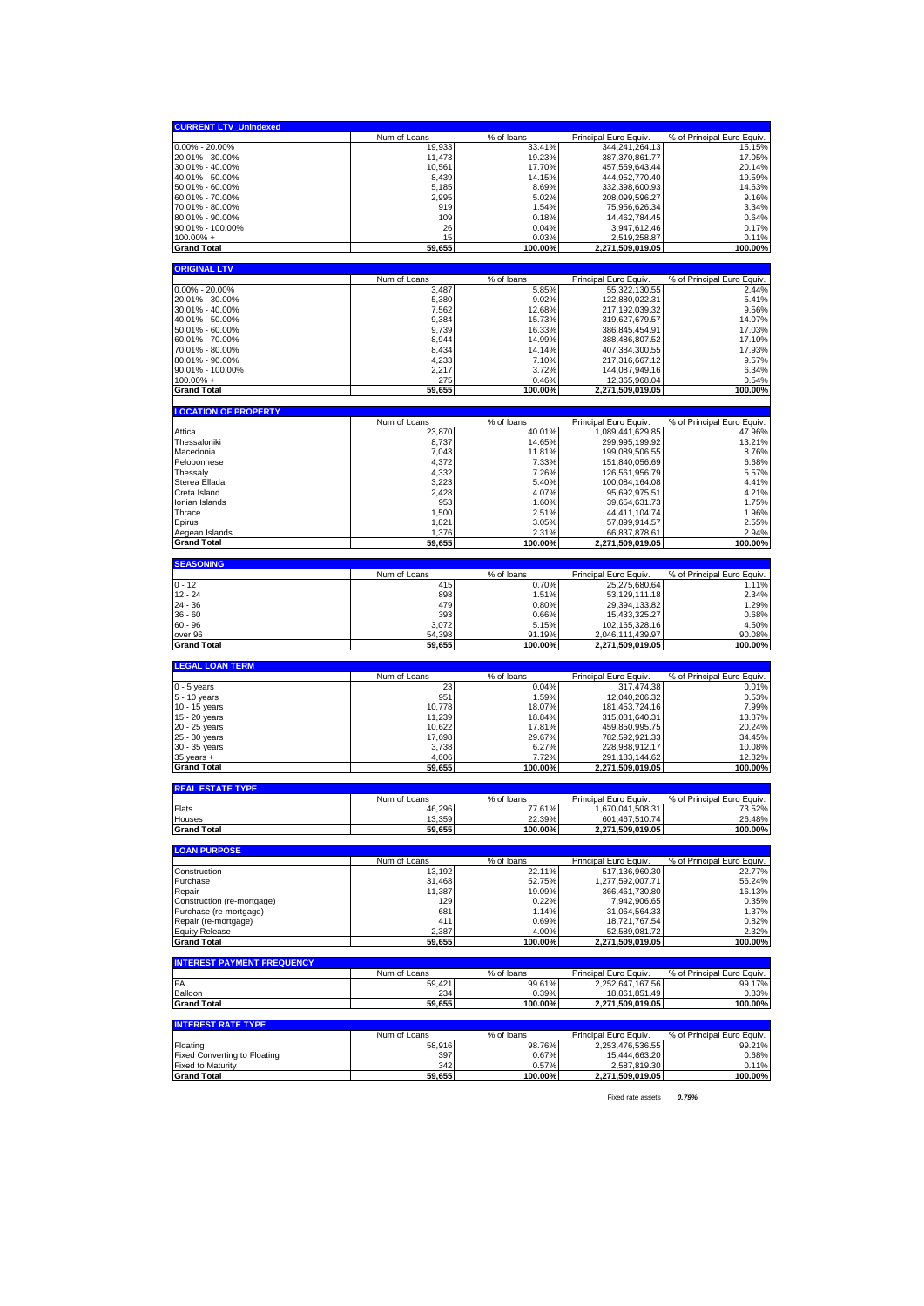| <b>CURRENT LTV_Unindexed</b>                                    |                    |                     |                                     |                                     |
|-----------------------------------------------------------------|--------------------|---------------------|-------------------------------------|-------------------------------------|
|                                                                 | Num of Loans       | % of loans          | Principal Euro Equiv.               | % of Principal Euro Equiv.          |
| $0.00\% - 20.00\%$                                              | 19,933             | 33.41%              | 344,241,264.13                      | 15.15%                              |
| 20.01% - 30.00%                                                 | 11,473             | 19.23%              | 387,370,861.77                      | 17.05%                              |
| 30.01% - 40.00%<br>40.01% - 50.00%                              | 10,561<br>8,439    | 17.70%<br>14.15%    | 457,559,643.44<br>444,952,770.40    | 20.14%<br>19.59%                    |
| 50.01% - 60.00%                                                 | 5,185              | 8.69%               | 332,398,600.93                      | 14.63%                              |
| 60.01% - 70.00%                                                 | 2,995              | 5.02%               | 208,099,596.27                      | 9.16%                               |
| 70.01% - 80.00%                                                 | 919                | 1.54%               | 75,956,626.34                       | 3.34%                               |
| 80.01% - 90.00%                                                 | 109                | 0.18%               | 14,462,784.45                       | 0.64%                               |
| 90.01% - 100.00%                                                | 26                 | 0.04%               | 3,947,612.46                        | 0.17%                               |
| $100.00\% +$                                                    | 15                 | 0.03%               | 2,519,258.87                        | 0.11%                               |
| <b>Grand Total</b>                                              | 59,655             | 100.00%             | 2,271,509,019.05                    | 100.00%                             |
| <b>ORIGINAL LTV</b>                                             |                    |                     |                                     |                                     |
|                                                                 | Num of Loans       | % of loans          | Principal Euro Equiv.               | % of Principal Euro Equiv.          |
| 0.00% - 20.00%                                                  | 3,487              | 5.85%               | 55, 322, 130.55                     | 2.44%                               |
| 20.01% - 30.00%<br>30.01% - 40.00%                              | 5,380<br>7,562     | 9.02%<br>12.68%     | 122,880,022.31<br>217.192.039.32    | 5.41%<br>9.56%                      |
| 40.01% - 50.00%                                                 | 9,384              | 15.73%              | 319,627,679.57                      | 14.07%                              |
| 50.01% - 60.00%                                                 | 9,739              | 16.33%              | 386,845,454.91                      | 17.03%                              |
| 60.01% - 70.00%                                                 | 8,944              | 14.99%              | 388,486,807.52                      | 17.10%                              |
| 70.01% - 80.00%                                                 | 8,434              | 14.14%              | 407,384,300.55                      | 17.93%                              |
| 80.01% - 90.00%                                                 | 4,233              | 7.10%               | 217,316,667.12                      | 9.57%                               |
| 90.01% - 100.00%                                                | 2,217              | 3.72%               | 144,087,949.16                      | 6.34%                               |
| $100.00\%$ +<br><b>Grand Total</b>                              | 275<br>59,655      | 0.46%<br>100.00%    | 12,365,968.04<br>2,271,509,019.05   | 0.54%<br>100.00%                    |
|                                                                 |                    |                     |                                     |                                     |
| <b>LOCATION OF PROPERTY</b>                                     |                    |                     |                                     |                                     |
|                                                                 | Num of Loans       | % of loans          | Principal Euro Equiv                | % of Principal Euro Equiv.          |
| Attica                                                          | 23,870             | 40.01%              | 1,089,441,629.85                    | 47.96%                              |
| Thessaloniki<br>Macedonia                                       | 8,737              | 14.65%              | 299,995,199.92                      | 13.21%                              |
| Peloponnese                                                     | 7,043<br>4,372     | 11.81%<br>7.33%     | 199,089,506.55<br>151,840,056.69    | 8.76%<br>6.68%                      |
| Thessaly                                                        | 4,332              | 7.26%               | 126,561,956.79                      | 5.57%                               |
| Sterea Ellada                                                   | 3,223              | 5.40%               | 100,084,164.08                      | 4.41%                               |
| Creta Island                                                    | 2,428              | 4.07%               | 95,692,975.51                       | 4.21%                               |
| Ionian Islands                                                  | 953                | 1.60%               | 39,654,631.73                       | 1.75%                               |
| Thrace                                                          | 1,500              | 2.51%               | 44,411,104.74                       | 1.96%                               |
| Epirus                                                          | 1,821              | 3.05%               | 57,899,914.57                       | 2.55%                               |
| Aegean Islands<br><b>Grand Total</b>                            | 1,376              | 2.31%<br>100.00%    | 66,837,878.61<br>2,271,509,019.05   | 2.94%                               |
|                                                                 | 59,655             |                     |                                     | 100.00%                             |
| <b>SEASONING</b>                                                |                    |                     |                                     |                                     |
|                                                                 | Num of Loans       | % of loans          | Principal Euro Equiv.               | % of Principal Euro Equiv.          |
| $0 - 12$                                                        | 415                | 0.70%               | 25,275,680.64                       | 1.11%                               |
| $12 - 24$                                                       | 898                | 1.51%               | 53,129,111.18                       | 2.34%                               |
|                                                                 |                    |                     |                                     |                                     |
| 24 - 36<br>$36 - 60$                                            | 479<br>393         | 0.80%<br>0.66%      | 29,394,133.82                       | 1.29%<br>0.68%                      |
| $60 - 96$                                                       | 3,072              | 5.15%               | 15,433,325.27<br>102,165,328.16     | 4.50%                               |
| over 96                                                         | 54,398             | 91.19%              | 2,046,111,439.97                    | 90.08%                              |
| <b>Grand Total</b>                                              | 59,655             | 100.00%             | 2,271,509,019.05                    | 100.00%                             |
|                                                                 |                    |                     |                                     |                                     |
| <b>LEGAL LOAN TERM</b>                                          |                    |                     |                                     |                                     |
| $0 - 5$ years                                                   | Num of Loans<br>23 | % of loans<br>0.04% | Principal Euro Equiv.<br>317,474.38 | % of Principal Euro Equiv.<br>0.01% |
| 5 - 10 years                                                    | 951                | 1.59%               | 12,040,206.32                       | 0.53%                               |
| 10 - 15 years                                                   | 10,778             | 18.07%              | 181,453,724.16                      | 7.99%                               |
| 15 - 20 years                                                   | 11,239             | 18.84%              | 315,081,640.31                      | 13.87%                              |
| 20 - 25 years                                                   | 10,622             | 17.81%              | 459,850,995.75                      | 20.24%                              |
| 25 - 30 years<br>30 - 35 years                                  | 17,698<br>3,738    | 29.67%<br>6.27%     | 782,592,921.33<br>228,988,912.17    | 34.45%<br>10.08%                    |
| $35$ years $+$                                                  | 4,606              | 7.72%               | 291, 183, 144. 62                   | 12.82%                              |
| <b>Grand Total</b>                                              | 59,655             | 100.00%             | 2,271,509,019.05                    | 100.00%                             |
|                                                                 |                    |                     |                                     |                                     |
| <b>REAL ESTATE TYPE</b>                                         |                    |                     |                                     |                                     |
|                                                                 | Num of Loans       | % of loans          | Principal Euro Equiv                | % of Principal Euro Equiv.          |
| Flats<br>Houses                                                 | 46,296             | 7.61%<br>22.39%     | 1,670,041,508.31                    | 73.52%<br>26.48%                    |
| <b>Grand Total</b>                                              | 13,359<br>59,655   | 100.00%             | 601,467,510.74<br>2,271,509,019.05  | 100.00%                             |
|                                                                 |                    |                     |                                     |                                     |
| <b>LOAN PURPOSE</b>                                             |                    |                     |                                     |                                     |
|                                                                 | Num of Loans       | % of loans          | Principal Euro Equiv.               | % of Principal Euro Equiv.          |
| Construction                                                    | 13,192             | 22.11%              | 517,136,960.30                      | 22.77%                              |
| Purchase<br>Repair                                              | 31,468             | 52.75%<br>19.09%    | 1,277,592,007.71<br>366,461,730.80  | 56.24%<br>16.13%                    |
| Construction (re-mortgage)                                      | 11,387<br>129      | 0.22%               | 7,942,906.65                        | 0.35%                               |
| Purchase (re-mortgage)                                          | 681                | 1.14%               | 31,064,564.33                       | 1.37%                               |
| Repair (re-mortgage)                                            | 411                | 0.69%               | 18,721,767.54                       | 0.82%                               |
| <b>Equity Release</b>                                           | 2,387              | 4.00%               | 52,589,081.72                       | 2.32%                               |
| <b>Grand Total</b>                                              | 59,655             | 100.00%             | 2,271,509,019.05                    | 100.00%                             |
| <b>INTEREST PAYMENT FREQUENCY</b>                               |                    |                     |                                     |                                     |
|                                                                 | Num of Loans       | % of loans          | Principal Euro Equiv                | % of Principal Euro Equiv.          |
| FA                                                              | 59,421             | 99.61%              | 2,252,647,167.56                    | 99.17%                              |
| Balloon<br><b>Grand Total</b>                                   | 234<br>59,655      | 0.39%<br>100.00%    | 18,861,851.49<br>2,271,509,019.05   | 0.83%<br>100.00%                    |
|                                                                 |                    |                     |                                     |                                     |
| <b>INTEREST RATE TYPE</b>                                       |                    |                     |                                     |                                     |
|                                                                 | Num of Loans       | % of loans          | Principal Euro Equiv.               | % of Principal Euro Equiv.          |
| Floating                                                        | 58,916             | 98.76%              | 2,253,476,536.55                    | 99.21%                              |
| <b>Fixed Converting to Floating</b><br><b>Fixed to Maturity</b> | 397<br>342         | 0.67%<br>0.57%      | 15,444,663.20<br>2,587,819.30       | 0.68%<br>0.11%                      |

Fixed rate assets *0.79%*